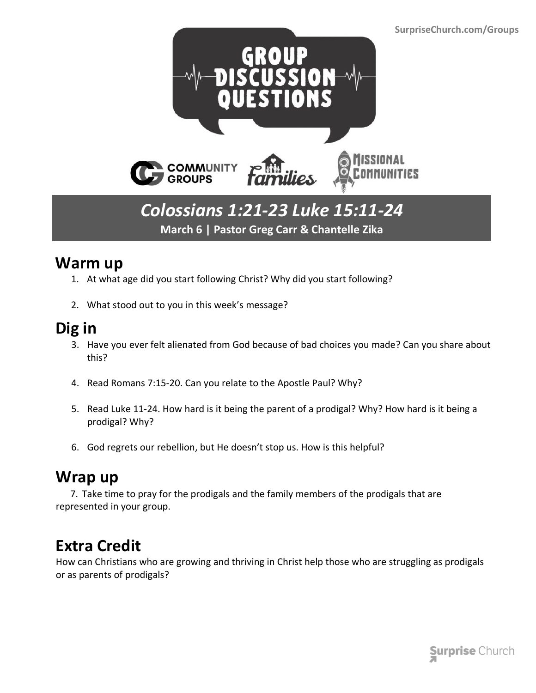

#### *Colossians 1:21-23 Luke 15:11-24* **March 6 | Pastor Greg Carr & Chantelle Zika**

#### **Warm up**

- 1. At what age did you start following Christ? Why did you start following?
- 2. What stood out to you in this week's message?

## **Dig in**

- 3. Have you ever felt alienated from God because of bad choices you made? Can you share about this?
- 4. Read Romans 7:15-20. Can you relate to the Apostle Paul? Why?
- 5. Read Luke 11-24. How hard is it being the parent of a prodigal? Why? How hard is it being a prodigal? Why?
- 6. God regrets our rebellion, but He doesn't stop us. How is this helpful?

### **Wrap up**

 7. Take time to pray for the prodigals and the family members of the prodigals that are represented in your group.

# **Extra Credit**

How can Christians who are growing and thriving in Christ help those who are struggling as prodigals or as parents of prodigals?